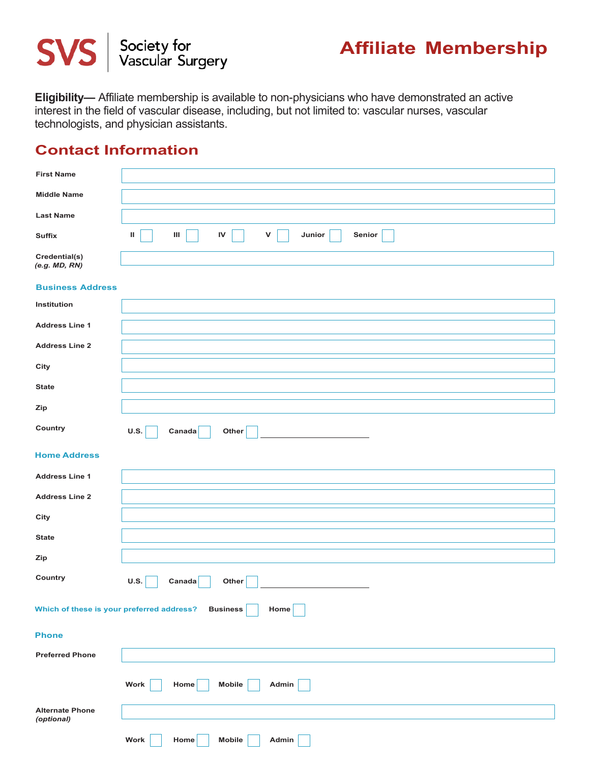

**Eligibility—** Affiliate membership is available to non-physicians who have demonstrated an active interest in the field of vascular disease, including, but not limited to: vascular nurses, vascular technologists, and physician assistants.

## **Contact Information**

| <b>First Name</b>                                                    |                                       |  |
|----------------------------------------------------------------------|---------------------------------------|--|
| <b>Middle Name</b>                                                   |                                       |  |
| <b>Last Name</b>                                                     |                                       |  |
| <b>Suffix</b>                                                        | Ш<br>IV<br>v<br>Senior<br>Ш<br>Junior |  |
| Credential(s)<br>(e.g. MD, RN)                                       |                                       |  |
| <b>Business Address</b>                                              |                                       |  |
| Institution                                                          |                                       |  |
| <b>Address Line 1</b>                                                |                                       |  |
| <b>Address Line 2</b>                                                |                                       |  |
| City                                                                 |                                       |  |
| <b>State</b>                                                         |                                       |  |
| Zip                                                                  |                                       |  |
| Country                                                              | <b>U.S.</b><br>Canada<br>Other        |  |
| <b>Home Address</b>                                                  |                                       |  |
| <b>Address Line 1</b>                                                |                                       |  |
| <b>Address Line 2</b>                                                |                                       |  |
| City                                                                 |                                       |  |
| <b>State</b>                                                         |                                       |  |
| Zip                                                                  |                                       |  |
| Country                                                              | <b>U.S.</b><br>Canada<br>Other        |  |
| Which of these is your preferred address?<br><b>Business</b><br>Home |                                       |  |
| <b>Phone</b>                                                         |                                       |  |
| <b>Preferred Phone</b>                                               |                                       |  |
|                                                                      | Work<br>Mobile<br>Home<br>Admin       |  |
| <b>Alternate Phone</b><br>(optional)                                 |                                       |  |
|                                                                      | Work<br>Mobile<br>Admin<br>Home       |  |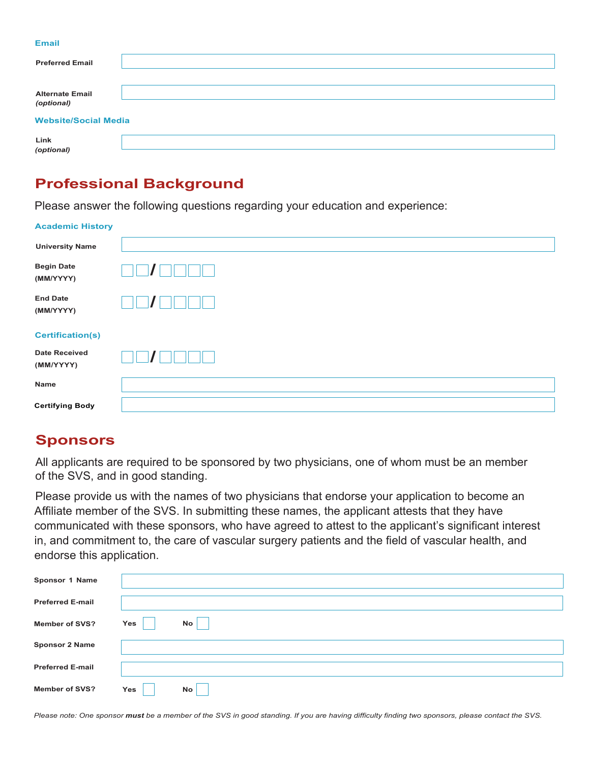#### **Email**

| <b>Preferred Email</b>      |  |  |
|-----------------------------|--|--|
|                             |  |  |
| <b>Alternate Email</b>      |  |  |
| (optional)                  |  |  |
| <b>Website/Social Media</b> |  |  |
|                             |  |  |
| Link<br>(optional)          |  |  |
|                             |  |  |

## **Professional Background**

Please answer the following questions regarding your education and experience:

### **Academic History**

| <b>University Name</b>            |  |
|-----------------------------------|--|
| <b>Begin Date</b><br>(MM/YYYY)    |  |
| <b>End Date</b><br>(MM/YYYY)      |  |
| <b>Certification(s)</b>           |  |
| <b>Date Received</b><br>(MM/YYYY) |  |
| Name                              |  |
| <b>Certifying Body</b>            |  |

### **Sponsors**

[All applicants are required to be sponsored by two physicians, one of whom must be an member](mailto:membership@vascularsociety.org)  of the SVS, and in good standing.

Please provide us with the names of two physicians that endorse your application to become an Affiliate member of the SVS. In submitting these names, the applicant attests that they have communicated with these sponsors, who have agreed to attest to the applicant's significant interest in, and commitment to, the care of vascular surgery patients and the field of vascular health, and endorse this application.

| Sponsor 1 Name          |           |
|-------------------------|-----------|
| <b>Preferred E-mail</b> |           |
| <b>Member of SVS?</b>   | No<br>Yes |
| <b>Sponsor 2 Name</b>   |           |
| <b>Preferred E-mail</b> |           |
| <b>Member of SVS?</b>   | Yes<br>No |

*Please note: One sponsor must be a member of the SVS in good standing. If you are having difficulty finding two sponsors, please contact the SVS.*